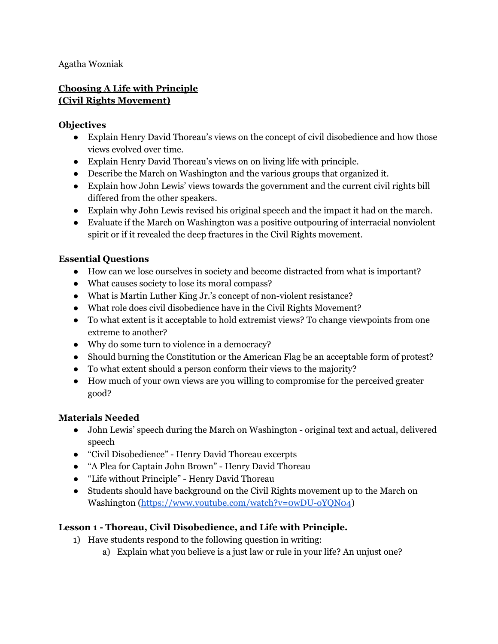Agatha Wozniak

## **Choosing A Life with Principle (Civil Rights Movement)**

### **Objectives**

- Explain Henry David Thoreau's views on the concept of civil disobedience and how those views evolved over time.
- Explain Henry David Thoreau's views on on living life with principle.
- Describe the March on Washington and the various groups that organized it.
- Explain how John Lewis' views towards the government and the current civil rights bill differed from the other speakers.
- Explain why John Lewis revised his original speech and the impact it had on the march.
- Evaluate if the March on Washington was a positive outpouring of interracial nonviolent spirit or if it revealed the deep fractures in the Civil Rights movement.

### **Essential Questions**

- How can we lose ourselves in society and become distracted from what is important?
- What causes society to lose its moral compass?
- What is Martin Luther King Jr.'s concept of non-violent resistance?
- What role does civil disobedience have in the Civil Rights Movement?
- To what extent is it acceptable to hold extremist views? To change viewpoints from one extreme to another?
- Why do some turn to violence in a democracy?
- Should burning the Constitution or the American Flag be an acceptable form of protest?
- To what extent should a person conform their views to the majority?
- How much of your own views are you willing to compromise for the perceived greater good?

### **Materials Needed**

- John Lewis' speech during the March on Washington original text and actual, delivered speech
- "Civil Disobedience" Henry David Thoreau excerpts
- "A Plea for Captain John Brown" Henry David Thoreau
- "Life without Principle" Henry David Thoreau
- Students should have background on the Civil Rights movement up to the March on Washington [\(https://www.youtube.com/watch?v=0wDU-oYQN04\)](https://www.youtube.com/watch?v=0wDU-oYQN04)

# **Lesson 1 - Thoreau, Civil Disobedience, and Life with Principle.**

- 1) Have students respond to the following question in writing:
	- a) Explain what you believe is a just law or rule in your life? An unjust one?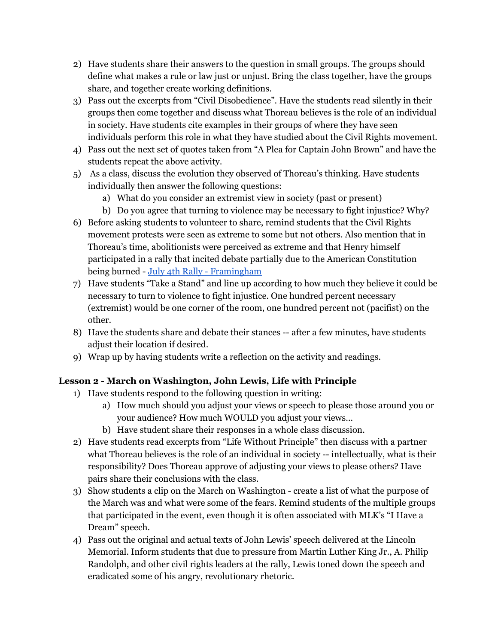- 2) Have students share their answers to the question in small groups. The groups should define what makes a rule or law just or unjust. Bring the class together, have the groups share, and together create working definitions.
- 3) Pass out the excerpts from "Civil Disobedience". Have the students read silently in their groups then come together and discuss what Thoreau believes is the role of an individual in society. Have students cite examples in their groups of where they have seen individuals perform this role in what they have studied about the Civil Rights movement.
- 4) Pass out the next set of quotes taken from "A Plea for Captain John Brown" and have the students repeat the above activity.
- 5) As a class, discuss the evolution they observed of Thoreau's thinking. Have students individually then answer the following questions:
	- a) What do you consider an extremist view in society (past or present)
	- b) Do you agree that turning to violence may be necessary to fight injustice? Why?
- 6) Before asking students to volunteer to share, remind students that the Civil Rights movement protests were seen as extreme to some but not others. Also mention that in Thoreau's time, abolitionists were perceived as extreme and that Henry himself participated in a rally that incited debate partially due to the American Constitution being burned - July 4th Rally - [Framingham](https://www.masshist.org/database/431)
- 7) Have students "Take a Stand" and line up according to how much they believe it could be necessary to turn to violence to fight injustice. One hundred percent necessary (extremist) would be one corner of the room, one hundred percent not (pacifist) on the other.
- 8) Have the students share and debate their stances -- after a few minutes, have students adjust their location if desired.
- 9) Wrap up by having students write a reflection on the activity and readings.

### **Lesson 2 - March on Washington, John Lewis, Life with Principle**

- 1) Have students respond to the following question in writing:
	- a) How much should you adjust your views or speech to please those around you or your audience? How much WOULD you adjust your views…
	- b) Have student share their responses in a whole class discussion.
- 2) Have students read excerpts from "Life Without Principle" then discuss with a partner what Thoreau believes is the role of an individual in society -- intellectually, what is their responsibility? Does Thoreau approve of adjusting your views to please others? Have pairs share their conclusions with the class.
- 3) Show students a clip on the March on Washington create a list of what the purpose of the March was and what were some of the fears. Remind students of the multiple groups that participated in the event, even though it is often associated with MLK's "I Have a Dream" speech.
- 4) Pass out the original and actual texts of John Lewis' speech delivered at the Lincoln Memorial. Inform students that due to pressure from Martin Luther King Jr., A. Philip Randolph, and other civil rights leaders at the rally, Lewis toned down the speech and eradicated some of his angry, revolutionary rhetoric.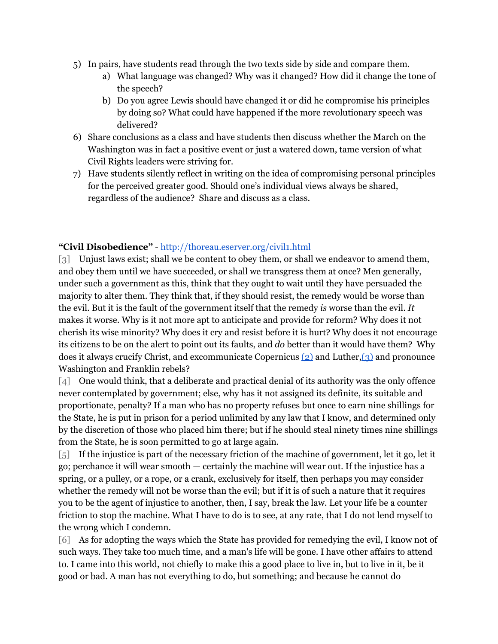- 5) In pairs, have students read through the two texts side by side and compare them.
	- a) What language was changed? Why was it changed? How did it change the tone of the speech?
	- b) Do you agree Lewis should have changed it or did he compromise his principles by doing so? What could have happened if the more revolutionary speech was delivered?
- 6) Share conclusions as a class and have students then discuss whether the March on the Washington was in fact a positive event or just a watered down, tame version of what Civil Rights leaders were striving for.
- 7) Have students silently reflect in writing on the idea of compromising personal principles for the perceived greater good. Should one's individual views always be shared, regardless of the audience? Share and discuss as a class.

### **"Civil Disobedience"** - <http://thoreau.eserver.org/civil1.html>

[3] Unjust laws exist; shall we be content to obey them, or shall we endeavor to amend them, and obey them until we have succeeded, or shall we transgress them at once? Men generally, under such a government as this, think that they ought to wait until they have persuaded the majority to alter them. They think that, if they should resist, the remedy would be worse than the evil. But it is the fault of the government itself that the remedy *is* worse than the evil. *It* makes it worse. Why is it not more apt to anticipate and provide for reform? Why does it not cherish its wise minority? Why does it cry and resist before it is hurt? Why does it not encourage its citizens to be on the alert to point out its faults, and *do* better than it would have them? Why does it always crucify Christ, and excommunicate Copernicus  $(2)$  and Luther,  $(3)$  and pronounce Washington and Franklin rebels?

[4] One would think, that a deliberate and practical denial of its authority was the only offence never contemplated by government; else, why has it not assigned its definite, its suitable and proportionate, penalty? If a man who has no property refuses but once to earn nine shillings for the State, he is put in prison for a period unlimited by any law that I know, and determined only by the discretion of those who placed him there; but if he should steal ninety times nine shillings from the State, he is soon permitted to go at large again.

[5] If the injustice is part of the necessary friction of the machine of government, let it go, let it go; perchance it will wear smooth — certainly the machine will wear out. If the injustice has a spring, or a pulley, or a rope, or a crank, exclusively for itself, then perhaps you may consider whether the remedy will not be worse than the evil; but if it is of such a nature that it requires you to be the agent of injustice to another, then, I say, break the law. Let your life be a counter friction to stop the machine. What I have to do is to see, at any rate, that I do not lend myself to the wrong which I condemn.

[6] As for adopting the ways which the State has provided for remedying the evil, I know not of such ways. They take too much time, and a man's life will be gone. I have other affairs to attend to. I came into this world, not chiefly to make this a good place to live in, but to live in it, be it good or bad. A man has not everything to do, but something; and because he cannot do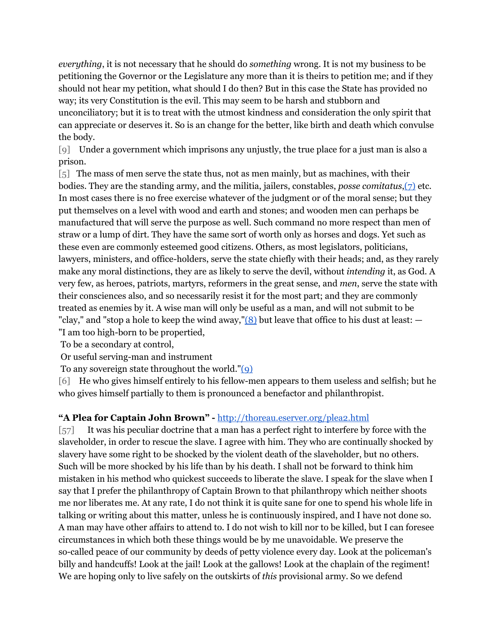*everything*, it is not necessary that he should do *something* wrong. It is not my business to be petitioning the Governor or the Legislature any more than it is theirs to petition me; and if they should not hear my petition, what should I do then? But in this case the State has provided no way; its very Constitution is the evil. This may seem to be harsh and stubborn and unconciliatory; but it is to treat with the utmost kindness and consideration the only spirit that can appreciate or deserves it. So is an change for the better, like birth and death which convulse the body.

[9] Under a government which imprisons any unjustly, the true place for a just man is also a prison.

[5] The mass of men serve the state thus, not as men mainly, but as machines, with their bodies. They are the standing army, and the militia, jailers, constables, *posse comitatus*[,\(7\)](http://thoreau.eserver.org/civil1.html#notes) etc. In most cases there is no free exercise whatever of the judgment or of the moral sense; but they put themselves on a level with wood and earth and stones; and wooden men can perhaps be manufactured that will serve the purpose as well. Such command no more respect than men of straw or a lump of dirt. They have the same sort of worth only as horses and dogs. Yet such as these even are commonly esteemed good citizens. Others, as most legislators, politicians, lawyers, ministers, and office-holders, serve the state chiefly with their heads; and, as they rarely make any moral distinctions, they are as likely to serve the devil, without *intending* it, as God. A very few, as heroes, patriots, martyrs, reformers in the great sense, and *men*, serve the state with their consciences also, and so necessarily resist it for the most part; and they are commonly treated as enemies by it. A wise man will only be useful as a man, and will not submit to be "clay," and "stop a hole to keep the wind away," $(8)$  but leave that office to his dust at least:  $-$ "I am too high-born to be propertied,

To be a secondary at control,

Or useful serving-man and instrument

To any sovereign state throughout the world.["\(9\)](http://thoreau.eserver.org/civil1.html#notes)

[6] He who gives himself entirely to his fellow-men appears to them useless and selfish; but he who gives himself partially to them is pronounced a benefactor and philanthropist.

### **"A Plea for Captain John Brown" -** <http://thoreau.eserver.org/plea2.html>

[57] It was his peculiar doctrine that a man has a perfect right to interfere by force with the slaveholder, in order to rescue the slave. I agree with him. They who are continually shocked by slavery have some right to be shocked by the violent death of the slaveholder, but no others. Such will be more shocked by his life than by his death. I shall not be forward to think him mistaken in his method who quickest succeeds to liberate the slave. I speak for the slave when I say that I prefer the philanthropy of Captain Brown to that philanthropy which neither shoots me nor liberates me. At any rate, I do not think it is quite sane for one to spend his whole life in talking or writing about this matter, unless he is continuously inspired, and I have not done so. A man may have other affairs to attend to. I do not wish to kill nor to be killed, but I can foresee circumstances in which both these things would be by me unavoidable. We preserve the so-called peace of our community by deeds of petty violence every day. Look at the policeman's billy and handcuffs! Look at the jail! Look at the gallows! Look at the chaplain of the regiment! We are hoping only to live safely on the outskirts of *this* provisional army. So we defend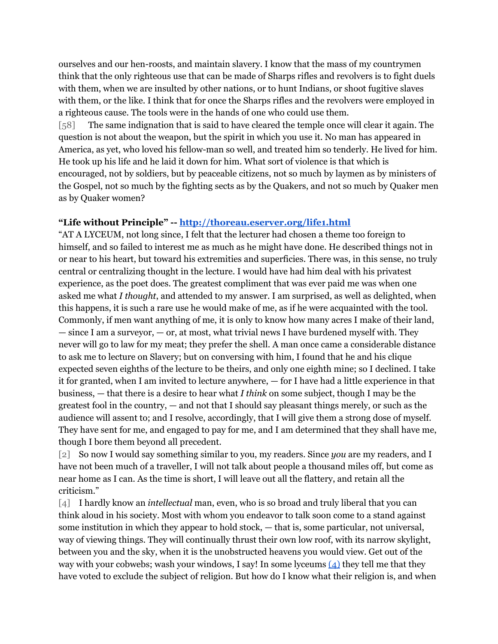ourselves and our hen-roosts, and maintain slavery. I know that the mass of my countrymen think that the only righteous use that can be made of Sharps rifles and revolvers is to fight duels with them, when we are insulted by other nations, or to hunt Indians, or shoot fugitive slaves with them, or the like. I think that for once the Sharps rifles and the revolvers were employed in a righteous cause. The tools were in the hands of one who could use them.

[58] The same indignation that is said to have cleared the temple once will clear it again. The question is not about the weapon, but the spirit in which you use it. No man has appeared in America, as yet, who loved his fellow-man so well, and treated him so tenderly. He lived for him. He took up his life and he laid it down for him. What sort of violence is that which is encouraged, not by soldiers, but by peaceable citizens, not so much by laymen as by ministers of the Gospel, not so much by the fighting sects as by the Quakers, and not so much by Quaker men as by Quaker women?

#### **"Life without Principle" -- <http://thoreau.eserver.org/life1.html>**

"AT A LYCEUM, not long since, I felt that the lecturer had chosen a theme too foreign to himself, and so failed to interest me as much as he might have done. He described things not in or near to his heart, but toward his extremities and superficies. There was, in this sense, no truly central or centralizing thought in the lecture. I would have had him deal with his privatest experience, as the poet does. The greatest compliment that was ever paid me was when one asked me what *I thought*, and attended to my answer. I am surprised, as well as delighted, when this happens, it is such a rare use he would make of me, as if he were acquainted with the tool. Commonly, if men want anything of me, it is only to know how many acres I make of their land, — since I am a surveyor, — or, at most, what trivial news I have burdened myself with. They never will go to law for my meat; they prefer the shell. A man once came a considerable distance to ask me to lecture on Slavery; but on conversing with him, I found that he and his clique expected seven eighths of the lecture to be theirs, and only one eighth mine; so I declined. I take it for granted, when I am invited to lecture anywhere, — for I have had a little experience in that business, — that there is a desire to hear what *I think* on some subject, though I may be the greatest fool in the country, — and not that I should say pleasant things merely, or such as the audience will assent to; and I resolve, accordingly, that I will give them a strong dose of myself. They have sent for me, and engaged to pay for me, and I am determined that they shall have me, though I bore them beyond all precedent.

[2] So now I would say something similar to you, my readers. Since *you* are my readers, and I have not been much of a traveller, I will not talk about people a thousand miles off, but come as near home as I can. As the time is short, I will leave out all the flattery, and retain all the criticism."

[4] I hardly know an *intellectual* man, even, who is so broad and truly liberal that you can think aloud in his society. Most with whom you endeavor to talk soon come to a stand against some institution in which they appear to hold stock, — that is, some particular, not universal, way of viewing things. They will continually thrust their own low roof, with its narrow skylight, between you and the sky, when it is the unobstructed heavens you would view. Get out of the way with your cobweb[s](http://thoreau.eserver.org/life2.html#n); wash your windows, I say! In some lyceums  $(4)$  they tell me that they have voted to exclude the subject of religion. But how do I know what their religion is, and when